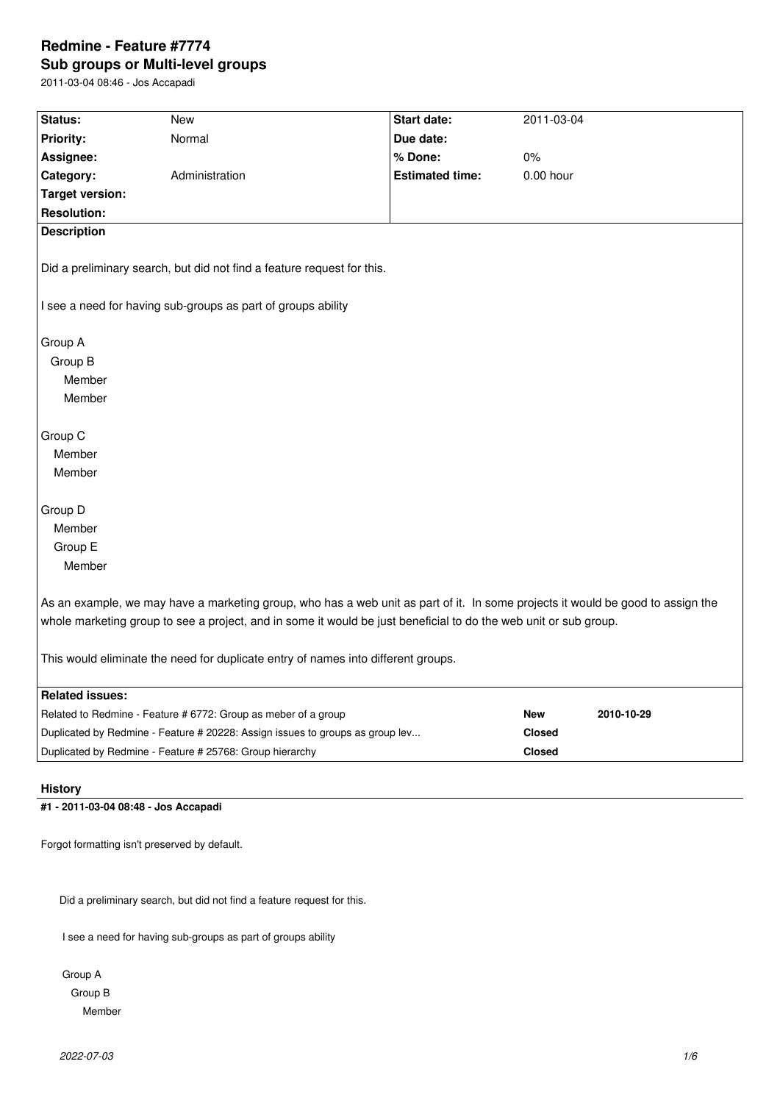# **Redmine - Feature #7774 Sub groups or Multi-level groups**

2011-03-04 08:46 - Jos Accapadi

| Status:                                                                                                                                                                                                                                             | <b>New</b>                                                                    | Start date:            | 2011-03-04    |            |
|-----------------------------------------------------------------------------------------------------------------------------------------------------------------------------------------------------------------------------------------------------|-------------------------------------------------------------------------------|------------------------|---------------|------------|
| Priority:                                                                                                                                                                                                                                           | Normal                                                                        | Due date:              |               |            |
| Assignee:                                                                                                                                                                                                                                           |                                                                               | % Done:                | 0%            |            |
| Category:                                                                                                                                                                                                                                           | Administration                                                                | <b>Estimated time:</b> | 0.00 hour     |            |
| <b>Target version:</b>                                                                                                                                                                                                                              |                                                                               |                        |               |            |
| <b>Resolution:</b>                                                                                                                                                                                                                                  |                                                                               |                        |               |            |
| <b>Description</b>                                                                                                                                                                                                                                  |                                                                               |                        |               |            |
| Did a preliminary search, but did not find a feature request for this.<br>I see a need for having sub-groups as part of groups ability                                                                                                              |                                                                               |                        |               |            |
|                                                                                                                                                                                                                                                     |                                                                               |                        |               |            |
| Group A                                                                                                                                                                                                                                             |                                                                               |                        |               |            |
| Group B                                                                                                                                                                                                                                             |                                                                               |                        |               |            |
| Member                                                                                                                                                                                                                                              |                                                                               |                        |               |            |
| Member                                                                                                                                                                                                                                              |                                                                               |                        |               |            |
| Group C                                                                                                                                                                                                                                             |                                                                               |                        |               |            |
| Member                                                                                                                                                                                                                                              |                                                                               |                        |               |            |
| Member                                                                                                                                                                                                                                              |                                                                               |                        |               |            |
|                                                                                                                                                                                                                                                     |                                                                               |                        |               |            |
| Group D                                                                                                                                                                                                                                             |                                                                               |                        |               |            |
| Member                                                                                                                                                                                                                                              |                                                                               |                        |               |            |
| Group E                                                                                                                                                                                                                                             |                                                                               |                        |               |            |
| Member                                                                                                                                                                                                                                              |                                                                               |                        |               |            |
| As an example, we may have a marketing group, who has a web unit as part of it. In some projects it would be good to assign the<br>whole marketing group to see a project, and in some it would be just beneficial to do the web unit or sub group. |                                                                               |                        |               |            |
| This would eliminate the need for duplicate entry of names into different groups.                                                                                                                                                                   |                                                                               |                        |               |            |
| <b>Related issues:</b>                                                                                                                                                                                                                              |                                                                               |                        |               |            |
|                                                                                                                                                                                                                                                     | Related to Redmine - Feature # 6772: Group as meber of a group                |                        | <b>New</b>    | 2010-10-29 |
|                                                                                                                                                                                                                                                     | Duplicated by Redmine - Feature # 20228: Assign issues to groups as group lev |                        | <b>Closed</b> |            |
| Duplicated by Redmine - Feature # 25768: Group hierarchy<br><b>Closed</b>                                                                                                                                                                           |                                                                               |                        |               |            |

## **History**

## **#1 - 2011-03-04 08:48 - Jos Accapadi**

Forgot formatting isn't preserved by default.

Did a preliminary search, but did not find a feature request for this.

I see a need for having sub-groups as part of groups ability

 Group A Group B Member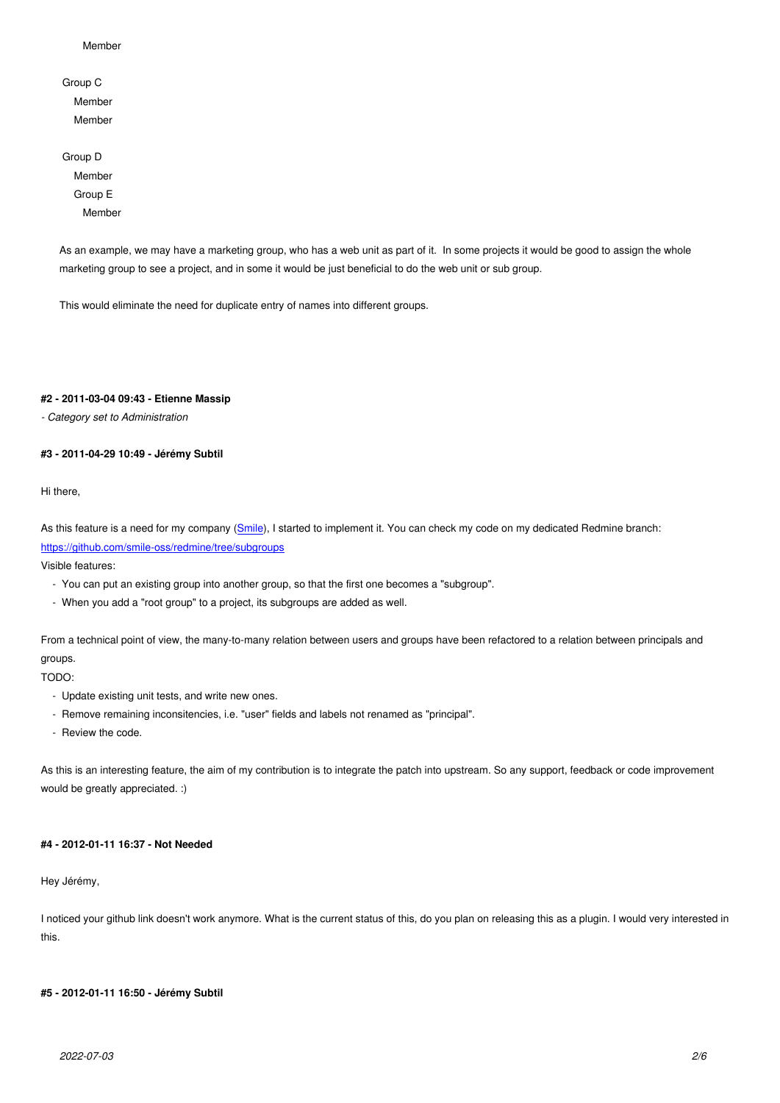Group C Member Member

 Group D Member Group E Member

As an example, we may have a marketing group, who has a web unit as part of it. In some projects it would be good to assign the whole marketing group to see a project, and in some it would be just beneficial to do the web unit or sub group.

This would eliminate the need for duplicate entry of names into different groups.

### **#2 - 2011-03-04 09:43 - Etienne Massip**

*- Category set to Administration*

### **#3 - 2011-04-29 10:49 - Jérémy Subtil**

Hi there,

As this feature is a need for my company (Smile), I started to implement it. You can check my code on my dedicated Redmine branch: https://github.com/smile-oss/redmine/tree/subgroups

Visible features:

- You can put an existing group into an[other g](http://www.smile.fr/en/)roup, so that the first one becomes a "subgroup".
- [When you add a "root group" to a project, its sub](https://github.com/smile-oss/redmine/tree/subgroups)groups are added as well.

From a technical point of view, the many-to-many relation between users and groups have been refactored to a relation between principals and groups.

TODO:

- Update existing unit tests, and write new ones.
- Remove remaining inconsitencies, i.e. "user" fields and labels not renamed as "principal".
- Review the code.

As this is an interesting feature, the aim of my contribution is to integrate the patch into upstream. So any support, feedback or code improvement would be greatly appreciated. :)

## **#4 - 2012-01-11 16:37 - Not Needed**

Hey Jérémy,

I noticed your github link doesn't work anymore. What is the current status of this, do you plan on releasing this as a plugin. I would very interested in this.

### **#5 - 2012-01-11 16:50 - Jérémy Subtil**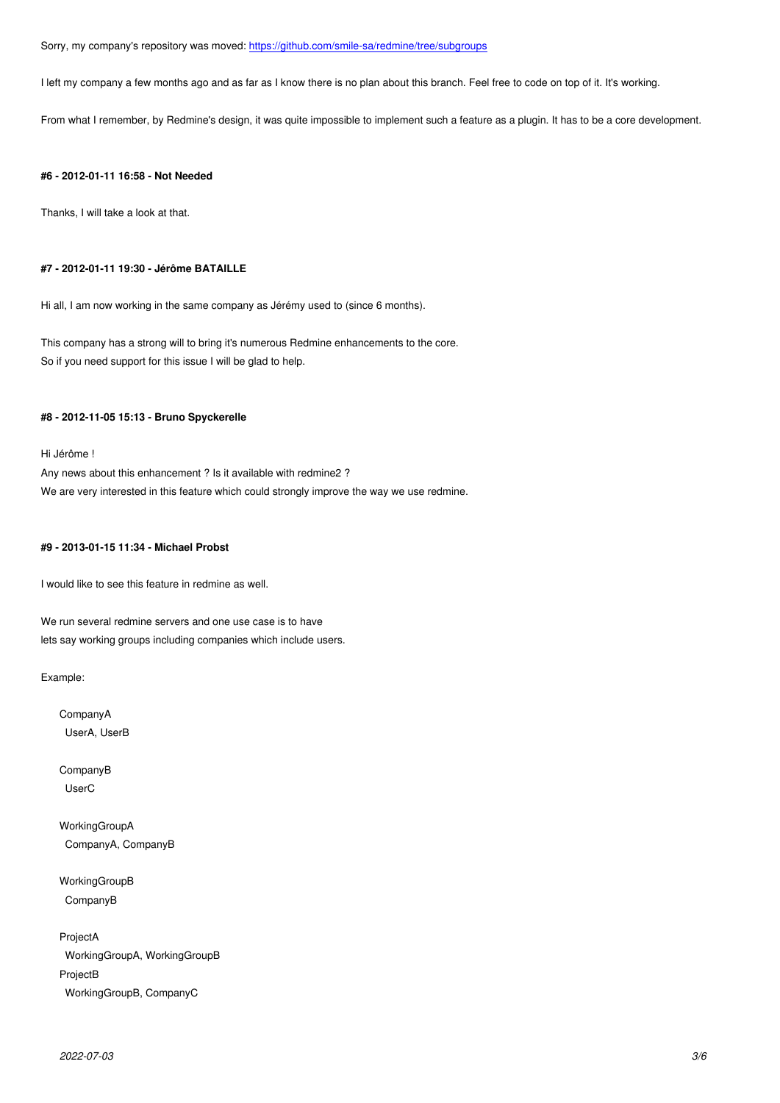I left my company a few months ago and as far as I know there is no plan about this branch. Feel free to code on top of it. It's working.

From what I remember, by Redmine's desig[n, it was quite impossible to implement such a feature](https://github.com/smile-sa/redmine/tree/subgroups) as a plugin. It has to be a core development.

### **#6 - 2012-01-11 16:58 - Not Needed**

Thanks, I will take a look at that.

### **#7 - 2012-01-11 19:30 - Jérôme BATAILLE**

Hi all, I am now working in the same company as Jérémy used to (since 6 months).

This company has a strong will to bring it's numerous Redmine enhancements to the core. So if you need support for this issue I will be glad to help.

### **#8 - 2012-11-05 15:13 - Bruno Spyckerelle**

Hi Jérôme !

Any news about this enhancement ? Is it available with redmine2 ? We are very interested in this feature which could strongly improve the way we use redmine.

## **#9 - 2013-01-15 11:34 - Michael Probst**

I would like to see this feature in redmine as well.

We run several redmine servers and one use case is to have lets say working groups including companies which include users.

Example:

CompanyA UserA, UserB

CompanyB UserC

WorkingGroupA CompanyA, CompanyB

WorkingGroupB CompanyB

ProjectA WorkingGroupA, WorkingGroupB ProjectB WorkingGroupB, CompanyC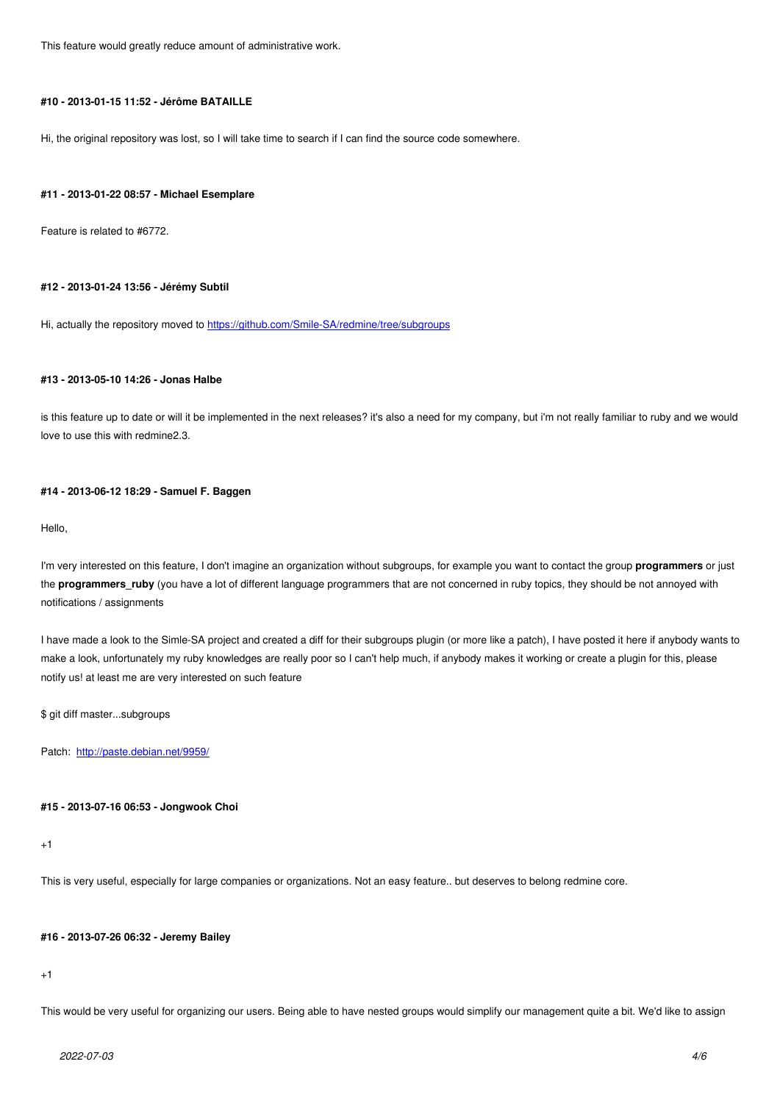## **#10 - 2013-01-15 11:52 - Jérôme BATAILLE**

Hi, the original repository was lost, so I will take time to search if I can find the source code somewhere.

### **#11 - 2013-01-22 08:57 - Michael Esemplare**

Feature is related to #6772.

### **#12 - 2013-01-24 13:56 - Jérémy Subtil**

Hi, actually the repository moved to https://github.com/Smile-SA/redmine/tree/subgroups

#### **#13 - 2013-05-10 14:26 - Jonas Ha[lbe](https://github.com/Smile-SA/redmine/tree/subgroups)**

is this feature up to date or will it be implemented in the next releases? it's also a need for my company, but i'm not really familiar to ruby and we would love to use this with redmine2.3.

### **#14 - 2013-06-12 18:29 - Samuel F. Baggen**

Hello,

I'm very interested on this feature, I don't imagine an organization without subgroups, for example you want to contact the group **programmers** or just the **programmers\_ruby** (you have a lot of different language programmers that are not concerned in ruby topics, they should be not annoyed with notifications / assignments

I have made a look to the Simle-SA project and created a diff for their subgroups plugin (or more like a patch), I have posted it here if anybody wants to make a look, unfortunately my ruby knowledges are really poor so I can't help much, if anybody makes it working or create a plugin for this, please notify us! at least me are very interested on such feature

\$ git diff master...subgroups

Patch: http://paste.debian.net/9959/

### **#15 - 2[013-07-16 06:53 - Jongwook](http://paste.debian.net/9959/) Choi**

#### $+1$

This is very useful, especially for large companies or organizations. Not an easy feature.. but deserves to belong redmine core.

## **#16 - 2013-07-26 06:32 - Jeremy Bailey**

+1

This would be very useful for organizing our users. Being able to have nested groups would simplify our management quite a bit. We'd like to assign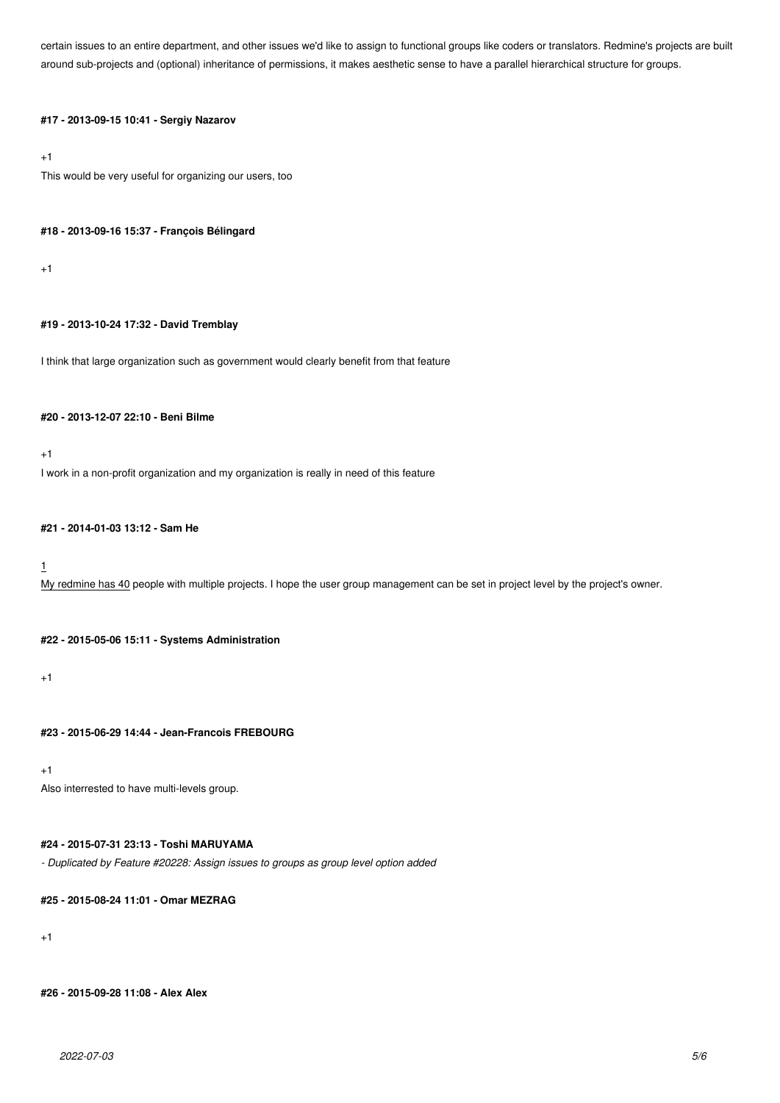certain issues to an entire department, and other issues we'd like to assign to functional groups like coders or translators. Redmine's projects are built around sub-projects and (optional) inheritance of permissions, it makes aesthetic sense to have a parallel hierarchical structure for groups.

## **#17 - 2013-09-15 10:41 - Sergiy Nazarov**

+1

This would be very useful for organizing our users, too

### **#18 - 2013-09-16 15:37 - François Bélingard**

+1

## **#19 - 2013-10-24 17:32 - David Tremblay**

I think that large organization such as government would clearly benefit from that feature

## **#20 - 2013-12-07 22:10 - Beni Bilme**

 $+1$ 

I work in a non-profit organization and my organization is really in need of this feature

## **#21 - 2014-01-03 13:12 - Sam He**

## 1

My redmine has 40 people with multiple projects. I hope the user group management can be set in project level by the project's owner.

### **#22 - 2015-05-06 15:11 - Systems Administration**

 $+1$ 

**#23 - 2015-06-29 14:44 - Jean-Francois FREBOURG**

 $+1$ 

Also interrested to have multi-levels group.

## **#24 - 2015-07-31 23:13 - Toshi MARUYAMA**

*- Duplicated by Feature #20228: Assign issues to groups as group level option added*

**#25 - 2015-08-24 11:01 - Omar MEZRAG**

 $+1$ 

**#26 - 2015-09-28 11:08 - Alex Alex**